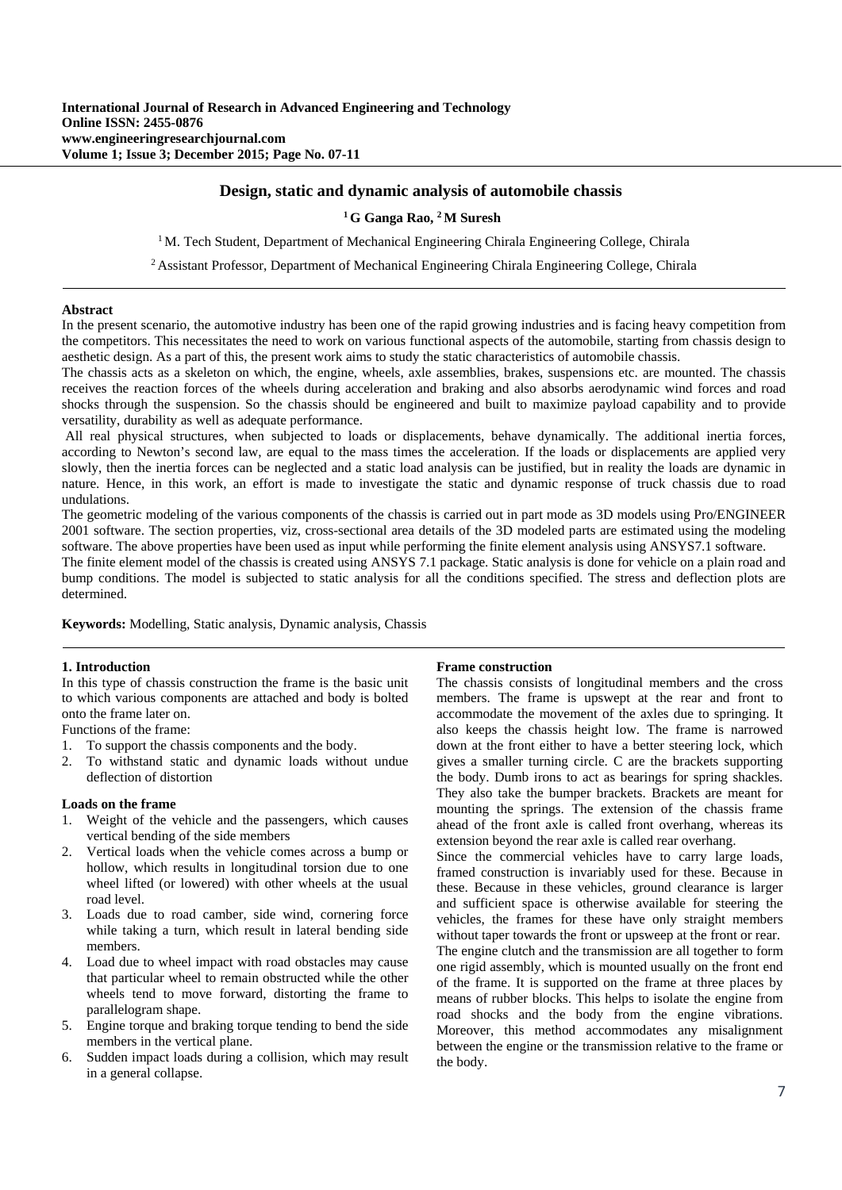# **Design, static and dynamic analysis of automobile chassis**

## **1 G Ganga Rao, 2 M Suresh**

 $1$  M. Tech Student, Department of Mechanical Engineering Chirala Engineering College, Chirala

2 Assistant Professor, Department of Mechanical Engineering Chirala Engineering College, Chirala

#### **Abstract**

In the present scenario, the automotive industry has been one of the rapid growing industries and is facing heavy competition from the competitors. This necessitates the need to work on various functional aspects of the automobile, starting from chassis design to aesthetic design. As a part of this, the present work aims to study the static characteristics of automobile chassis.

The chassis acts as a skeleton on which, the engine, wheels, axle assemblies, brakes, suspensions etc. are mounted. The chassis receives the reaction forces of the wheels during acceleration and braking and also absorbs aerodynamic wind forces and road shocks through the suspension. So the chassis should be engineered and built to maximize payload capability and to provide versatility, durability as well as adequate performance.

 All real physical structures, when subjected to loads or displacements, behave dynamically. The additional inertia forces, according to Newton's second law, are equal to the mass times the acceleration. If the loads or displacements are applied very slowly, then the inertia forces can be neglected and a static load analysis can be justified, but in reality the loads are dynamic in nature. Hence, in this work, an effort is made to investigate the static and dynamic response of truck chassis due to road undulations.

The geometric modeling of the various components of the chassis is carried out in part mode as 3D models using Pro/ENGINEER 2001 software. The section properties, viz, cross-sectional area details of the 3D modeled parts are estimated using the modeling software. The above properties have been used as input while performing the finite element analysis using ANSYS7.1 software.

The finite element model of the chassis is created using ANSYS 7.1 package. Static analysis is done for vehicle on a plain road and bump conditions. The model is subjected to static analysis for all the conditions specified. The stress and deflection plots are determined.

**Keywords:** Modelling, Static analysis, Dynamic analysis, Chassis

### **1. Introduction**

In this type of chassis construction the frame is the basic unit to which various components are attached and body is bolted onto the frame later on.

Functions of the frame:

- 1. To support the chassis components and the body.
- 2. To withstand static and dynamic loads without undue deflection of distortion

#### **Loads on the frame**

- 1. Weight of the vehicle and the passengers, which causes vertical bending of the side members
- 2. Vertical loads when the vehicle comes across a bump or hollow, which results in longitudinal torsion due to one wheel lifted (or lowered) with other wheels at the usual road level.
- 3. Loads due to road camber, side wind, cornering force while taking a turn, which result in lateral bending side members.
- 4. Load due to wheel impact with road obstacles may cause that particular wheel to remain obstructed while the other wheels tend to move forward, distorting the frame to parallelogram shape.
- 5. Engine torque and braking torque tending to bend the side members in the vertical plane.
- 6. Sudden impact loads during a collision, which may result in a general collapse.

### **Frame construction**

The chassis consists of longitudinal members and the cross members. The frame is upswept at the rear and front to accommodate the movement of the axles due to springing. It also keeps the chassis height low. The frame is narrowed down at the front either to have a better steering lock, which gives a smaller turning circle. C are the brackets supporting the body. Dumb irons to act as bearings for spring shackles. They also take the bumper brackets. Brackets are meant for mounting the springs. The extension of the chassis frame ahead of the front axle is called front overhang, whereas its extension beyond the rear axle is called rear overhang.

Since the commercial vehicles have to carry large loads, framed construction is invariably used for these. Because in these. Because in these vehicles, ground clearance is larger and sufficient space is otherwise available for steering the vehicles, the frames for these have only straight members without taper towards the front or upsweep at the front or rear. The engine clutch and the transmission are all together to form one rigid assembly, which is mounted usually on the front end of the frame. It is supported on the frame at three places by means of rubber blocks. This helps to isolate the engine from road shocks and the body from the engine vibrations. Moreover, this method accommodates any misalignment between the engine or the transmission relative to the frame or the body.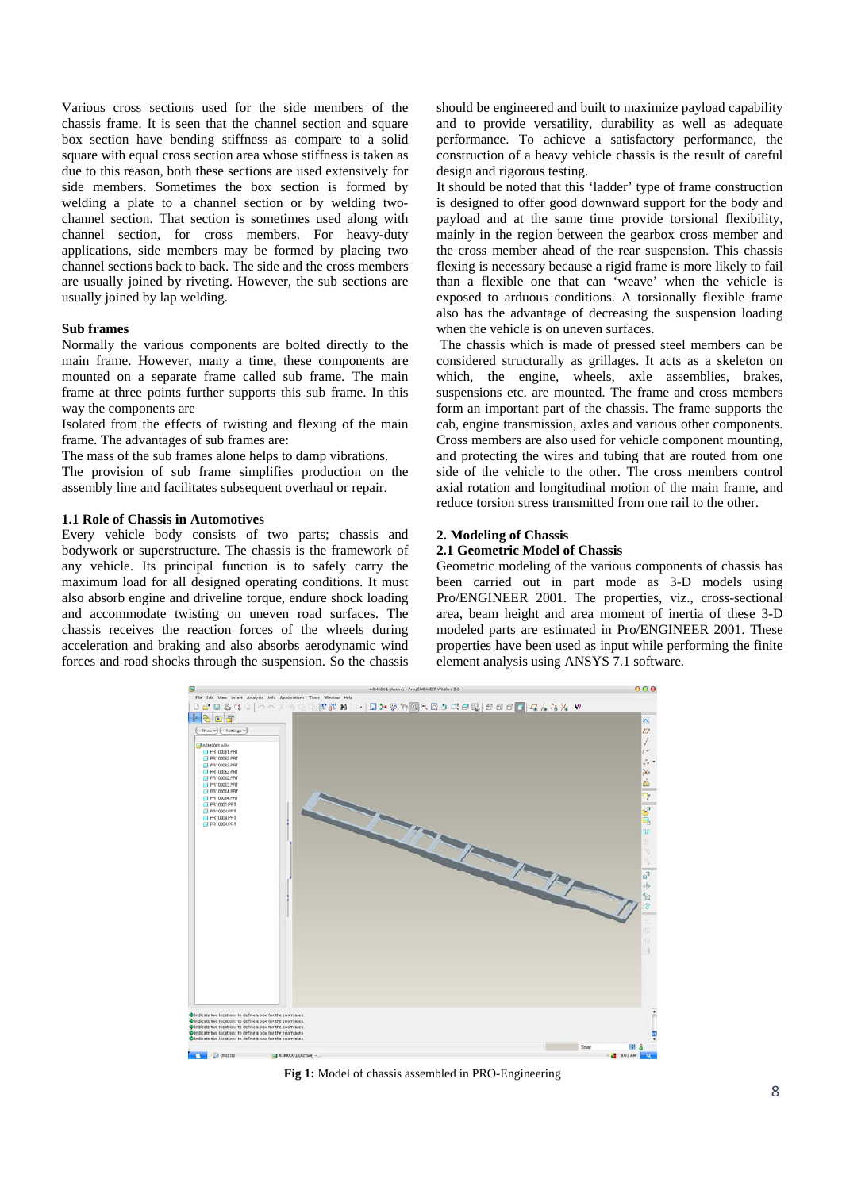Various cross sections used for the side members of the chassis frame. It is seen that the channel section and square box section have bending stiffness as compare to a solid square with equal cross section area whose stiffness is taken as due to this reason, both these sections are used extensively for side members. Sometimes the box section is formed by welding a plate to a channel section or by welding twochannel section. That section is sometimes used along with channel section, for cross members. For heavy-duty applications, side members may be formed by placing two channel sections back to back. The side and the cross members are usually joined by riveting. However, the sub sections are usually joined by lap welding.

### **Sub frames**

Normally the various components are bolted directly to the main frame. However, many a time, these components are mounted on a separate frame called sub frame. The main frame at three points further supports this sub frame. In this way the components are

Isolated from the effects of twisting and flexing of the main frame. The advantages of sub frames are:

The mass of the sub frames alone helps to damp vibrations.

The provision of sub frame simplifies production on the assembly line and facilitates subsequent overhaul or repair.

## **1.1 Role of Chassis in Automotives**

Every vehicle body consists of two parts; chassis and bodywork or superstructure. The chassis is the framework of any vehicle. Its principal function is to safely carry the maximum load for all designed operating conditions. It must also absorb engine and driveline torque, endure shock loading and accommodate twisting on uneven road surfaces. The chassis receives the reaction forces of the wheels during acceleration and braking and also absorbs aerodynamic wind forces and road shocks through the suspension. So the chassis

should be engineered and built to maximize payload capability and to provide versatility, durability as well as adequate performance. To achieve a satisfactory performance, the construction of a heavy vehicle chassis is the result of careful design and rigorous testing.

It should be noted that this 'ladder' type of frame construction is designed to offer good downward support for the body and payload and at the same time provide torsional flexibility, mainly in the region between the gearbox cross member and the cross member ahead of the rear suspension. This chassis flexing is necessary because a rigid frame is more likely to fail than a flexible one that can 'weave' when the vehicle is exposed to arduous conditions. A torsionally flexible frame also has the advantage of decreasing the suspension loading when the vehicle is on uneven surfaces.

 The chassis which is made of pressed steel members can be considered structurally as grillages. It acts as a skeleton on which, the engine, wheels, axle assemblies, brakes, suspensions etc. are mounted. The frame and cross members form an important part of the chassis. The frame supports the cab, engine transmission, axles and various other components. Cross members are also used for vehicle component mounting, and protecting the wires and tubing that are routed from one side of the vehicle to the other. The cross members control axial rotation and longitudinal motion of the main frame, and reduce torsion stress transmitted from one rail to the other.

## **2. Modeling of Chassis**

# **2.1 Geometric Model of Chassis**

Geometric modeling of the various components of chassis has been carried out in part mode as 3-D models using Pro/ENGINEER 2001. The properties, viz., cross-sectional area, beam height and area moment of inertia of these 3-D modeled parts are estimated in Pro/ENGINEER 2001. These properties have been used as input while performing the finite element analysis using ANSYS 7.1 software.



**Fig 1:** Model of chassis assembled in PRO-Engineering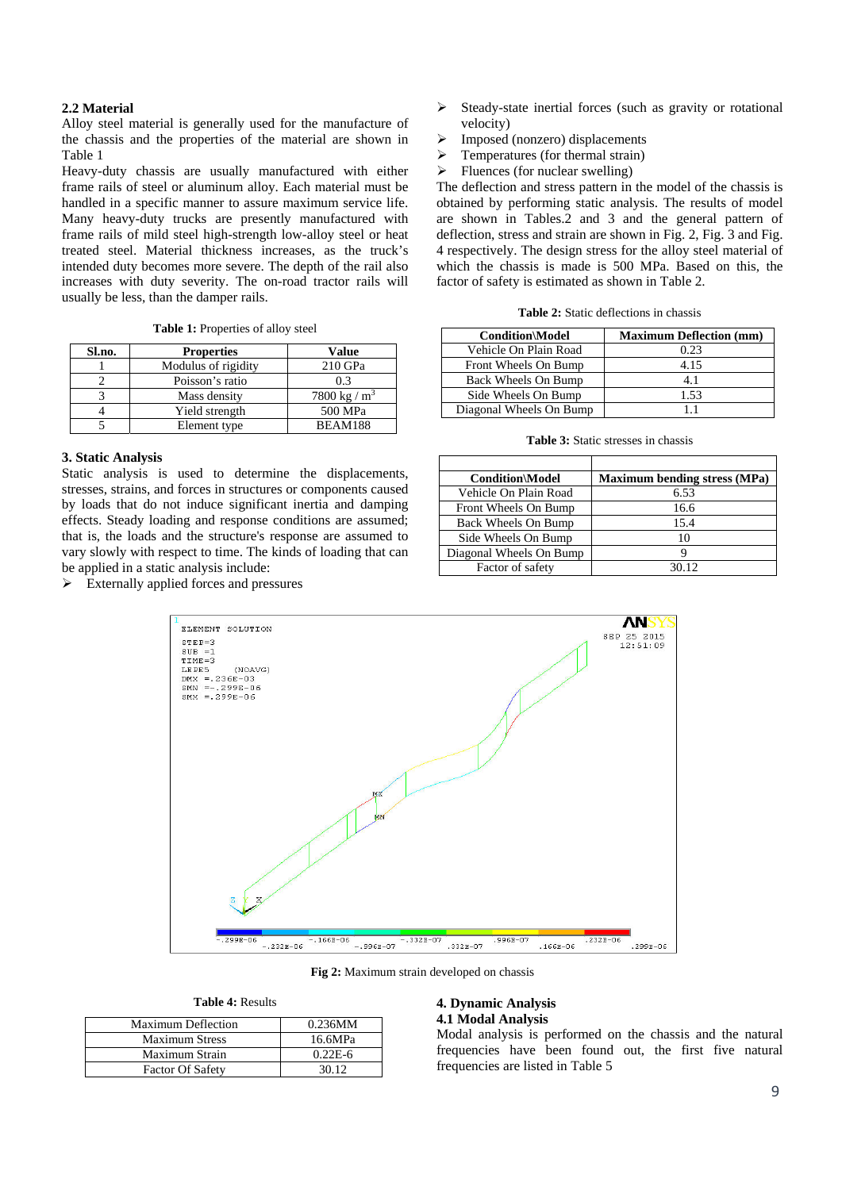## **2.2 Material**

Alloy steel material is generally used for the manufacture of the chassis and the properties of the material are shown in Table 1

Heavy-duty chassis are usually manufactured with either frame rails of steel or aluminum alloy. Each material must be handled in a specific manner to assure maximum service life. Many heavy-duty trucks are presently manufactured with frame rails of mild steel high-strength low-alloy steel or heat treated steel. Material thickness increases, as the truck's intended duty becomes more severe. The depth of the rail also increases with duty severity. The on-road tractor rails will usually be less, than the damper rails.

|  |  | <b>Table 1:</b> Properties of alloy steel |
|--|--|-------------------------------------------|
|--|--|-------------------------------------------|

| Sl.no. | <b>Properties</b>   | Value           |
|--------|---------------------|-----------------|
|        | Modulus of rigidity | 210 GPa         |
|        | Poisson's ratio     | 0.3             |
|        | Mass density        | 7800 kg / $m^3$ |
|        | Yield strength      | 500 MPa         |
|        | Element type        | BEAM188         |

### **3. Static Analysis**

Static analysis is used to determine the displacements, stresses, strains, and forces in structures or components caused by loads that do not induce significant inertia and damping effects. Steady loading and response conditions are assumed; that is, the loads and the structure's response are assumed to vary slowly with respect to time. The kinds of loading that can be applied in a static analysis include:

 $\triangleright$  Externally applied forces and pressures

- $\triangleright$  Steady-state inertial forces (such as gravity or rotational velocity)
- $\triangleright$  Imposed (nonzero) displacements
- $\triangleright$  Temperatures (for thermal strain)
- $\triangleright$  Fluences (for nuclear swelling)

The deflection and stress pattern in the model of the chassis is obtained by performing static analysis. The results of model are shown in Tables.2 and 3 and the general pattern of deflection, stress and strain are shown in Fig. 2, Fig. 3 and Fig. 4 respectively. The design stress for the alloy steel material of which the chassis is made is 500 MPa. Based on this, the factor of safety is estimated as shown in Table 2.

| <b>Condition\Model</b>  | <b>Maximum Deflection (mm)</b> |
|-------------------------|--------------------------------|
| Vehicle On Plain Road   | 0.23                           |
| Front Wheels On Bump    | 4.15                           |
| Back Wheels On Bump     | 4.1                            |
| Side Wheels On Bump     | 1.53                           |
| Diagonal Wheels On Bump |                                |

**Table 3:** Static stresses in chassis

| <b>Condition\Model</b>  | <b>Maximum bending stress (MPa)</b> |
|-------------------------|-------------------------------------|
| Vehicle On Plain Road   | 6.53                                |
| Front Wheels On Bump    | 16.6                                |
| Back Wheels On Bump     | 15.4                                |
| Side Wheels On Bump     | 10                                  |
| Diagonal Wheels On Bump | Q                                   |
| Factor of safety        | 30.12                               |



**Fig 2:** Maximum strain developed on chassis

|  |  | <b>Table 4: Results</b> |
|--|--|-------------------------|
|--|--|-------------------------|

| <b>Maximum Deflection</b> | $0.236$ MM |
|---------------------------|------------|
| <b>Maximum Stress</b>     | 16.6MPa    |
| Maximum Strain            | $0.22E-6$  |
| <b>Factor Of Safety</b>   | 30.12      |

### **4. Dynamic Analysis 4.1 Modal Analysis**

Modal analysis is performed on the chassis and the natural frequencies have been found out, the first five natural frequencies are listed in Table 5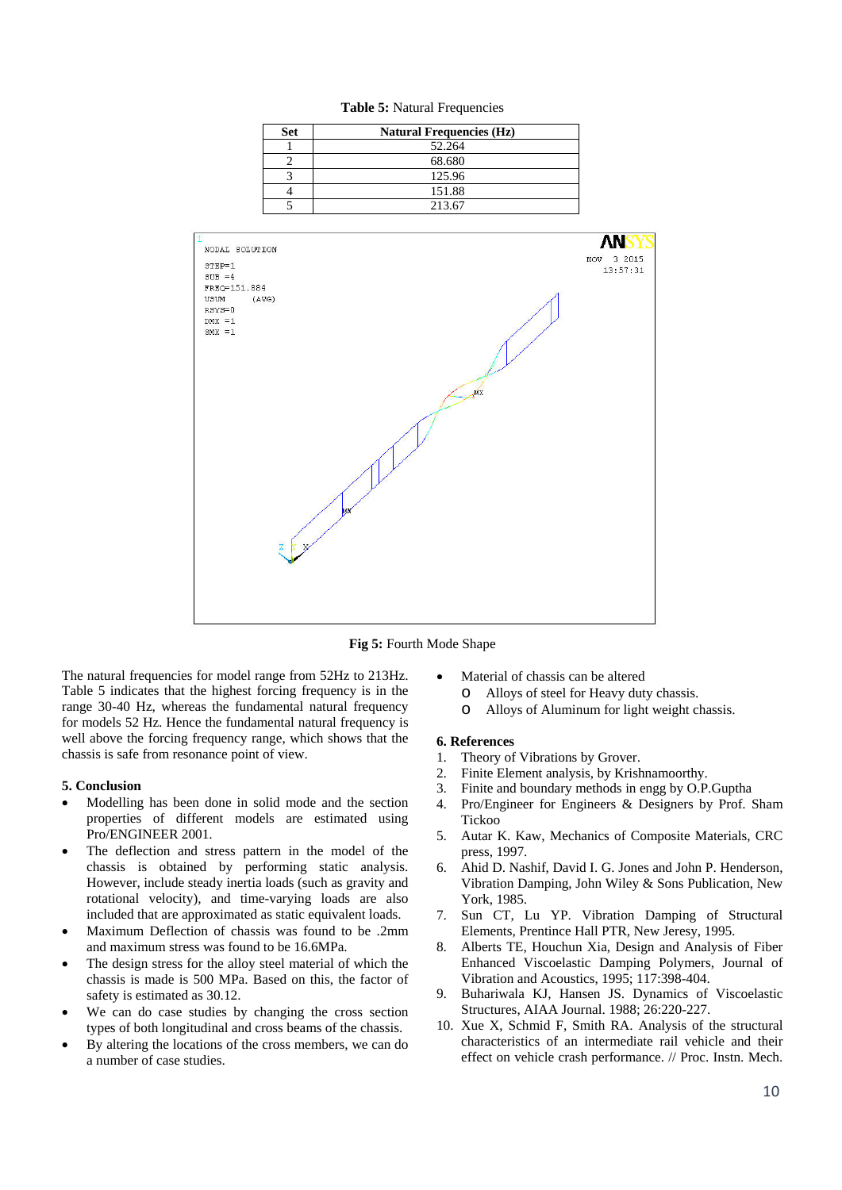

**Table 5:** Natural Frequencies

**Fig 5:** Fourth Mode Shape

The natural frequencies for model range from 52Hz to 213Hz. Table 5 indicates that the highest forcing frequency is in the range 30-40 Hz, whereas the fundamental natural frequency for models 52 Hz. Hence the fundamental natural frequency is well above the forcing frequency range, which shows that the chassis is safe from resonance point of view.

#### **5. Conclusion**

- Modelling has been done in solid mode and the section properties of different models are estimated using Pro/ENGINEER 2001.
- The deflection and stress pattern in the model of the chassis is obtained by performing static analysis. However, include steady inertia loads (such as gravity and rotational velocity), and time-varying loads are also included that are approximated as static equivalent loads.
- Maximum Deflection of chassis was found to be .2mm and maximum stress was found to be 16.6MPa.
- The design stress for the alloy steel material of which the chassis is made is 500 MPa. Based on this, the factor of safety is estimated as 30.12.
- We can do case studies by changing the cross section types of both longitudinal and cross beams of the chassis.
- By altering the locations of the cross members, we can do a number of case studies.
- Material of chassis can be altered
	- o Alloys of steel for Heavy duty chassis.
	- o Alloys of Aluminum for light weight chassis.

## **6. References**

- 1. Theory of Vibrations by Grover.
- 2. Finite Element analysis, by Krishnamoorthy.
- 3. Finite and boundary methods in engg by O.P.Guptha
- 4. Pro/Engineer for Engineers & Designers by Prof. Sham Tickoo
- 5. Autar K. Kaw, Mechanics of Composite Materials, CRC press, 1997.
- 6. Ahid D. Nashif, David I. G. Jones and John P. Henderson, Vibration Damping, John Wiley & Sons Publication, New York, 1985.
- 7. Sun CT, Lu YP. Vibration Damping of Structural Elements, Prentince Hall PTR, New Jeresy, 1995.
- 8. Alberts TE, Houchun Xia, Design and Analysis of Fiber Enhanced Viscoelastic Damping Polymers, Journal of Vibration and Acoustics, 1995; 117:398-404.
- 9. Buhariwala KJ, Hansen JS. Dynamics of Viscoelastic Structures, AIAA Journal. 1988; 26:220-227.
- 10. Xue X, Schmid F, Smith RA. Analysis of the structural characteristics of an intermediate rail vehicle and their effect on vehicle crash performance. // Proc. Instn. Mech.